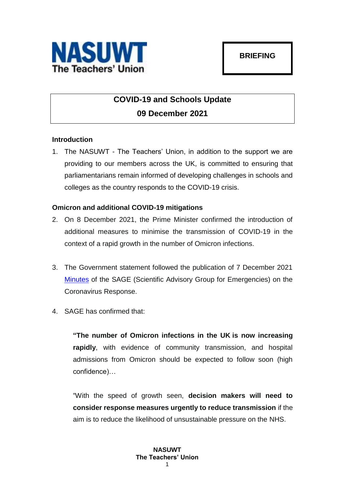

# **COVID-19 and Schools Update 09 December 2021**

# **Introduction**

1. The NASUWT - The Teachers' Union, in addition to the support we are providing to our members across the UK, is committed to ensuring that parliamentarians remain informed of developing challenges in schools and colleges as the country responds to the COVID-19 crisis.

# **Omicron and additional COVID-19 mitigations**

- 2. On 8 December 2021, the Prime Minister confirmed the introduction of additional measures to minimise the transmission of COVID-19 in the context of a rapid growth in the number of Omicron infections.
- 3. The Government statement followed the publication of 7 December 2021 [Minutes](https://www.gov.uk/government/publications/sage-98-minutes-coronavirus-covid-19-response-7-december-2021/sage-98-minutes-coronavirus-covid-19-response-7-december-2021) of the SAGE (Scientific Advisory Group for Emergencies) on the Coronavirus Response.
- 4. SAGE has confirmed that:

**"The number of Omicron infections in the UK is now increasing rapidly**, with evidence of community transmission, and hospital admissions from Omicron should be expected to follow soon (high confidence)…

"With the speed of growth seen, **decision makers will need to consider response measures urgently to reduce transmission** if the aim is to reduce the likelihood of unsustainable pressure on the NHS.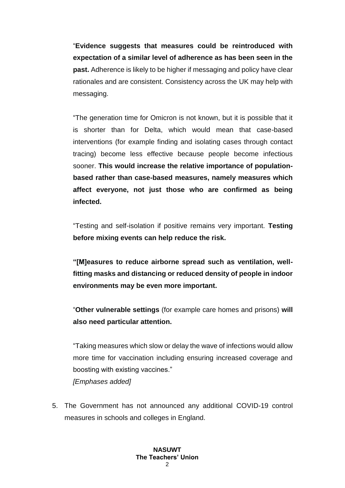"**Evidence suggests that measures could be reintroduced with expectation of a similar level of adherence as has been seen in the past.** Adherence is likely to be higher if messaging and policy have clear rationales and are consistent. Consistency across the UK may help with messaging.

"The generation time for Omicron is not known, but it is possible that it is shorter than for Delta, which would mean that case-based interventions (for example finding and isolating cases through contact tracing) become less effective because people become infectious sooner. **This would increase the relative importance of populationbased rather than case-based measures, namely measures which affect everyone, not just those who are confirmed as being infected.**

"Testing and self-isolation if positive remains very important. **Testing before mixing events can help reduce the risk.**

**"[M]easures to reduce airborne spread such as ventilation, wellfitting masks and distancing or reduced density of people in indoor environments may be even more important.**

"**Other vulnerable settings** (for example care homes and prisons) **will also need particular attention.** 

"Taking measures which slow or delay the wave of infections would allow more time for vaccination including ensuring increased coverage and boosting with existing vaccines."

*[Emphases added]*

5. The Government has not announced any additional COVID-19 control measures in schools and colleges in England.

#### **NASUWT The Teachers' Union**  $\Omega$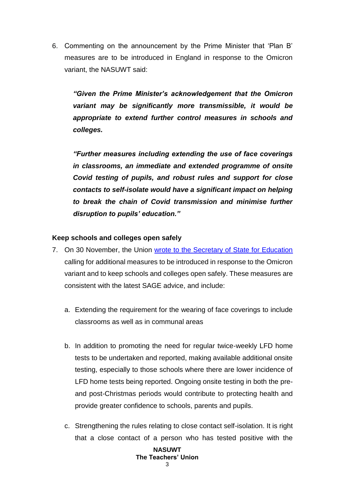6. Commenting on the announcement by the Prime Minister that 'Plan B' measures are to be introduced in England in response to the Omicron variant, the NASUWT said:

*"Given the Prime Minister's acknowledgement that the Omicron variant may be significantly more transmissible, it would be appropriate to extend further control measures in schools and colleges.*

*"Further measures including extending the use of face coverings in classrooms, an immediate and extended programme of onsite Covid testing of pupils, and robust rules and support for close contacts to self-isolate would have a significant impact on helping to break the chain of Covid transmission and minimise further disruption to pupils' education."*

## **Keep schools and colleges open safely**

- 7. On 30 November, the Union [wrote to the Secretary of State for Education](https://www.nasuwt.org.uk/asset/3AA3F67C-EE26-432A-BDFFC5690A602722/) calling for additional measures to be introduced in response to the Omicron variant and to keep schools and colleges open safely. These measures are consistent with the latest SAGE advice, and include:
	- a. Extending the requirement for the wearing of face coverings to include classrooms as well as in communal areas
	- b. In addition to promoting the need for regular twice-weekly LFD home tests to be undertaken and reported, making available additional onsite testing, especially to those schools where there are lower incidence of LFD home tests being reported. Ongoing onsite testing in both the preand post-Christmas periods would contribute to protecting health and provide greater confidence to schools, parents and pupils.
	- c. Strengthening the rules relating to close contact self-isolation. It is right that a close contact of a person who has tested positive with the

# **NASUWT The Teachers' Union**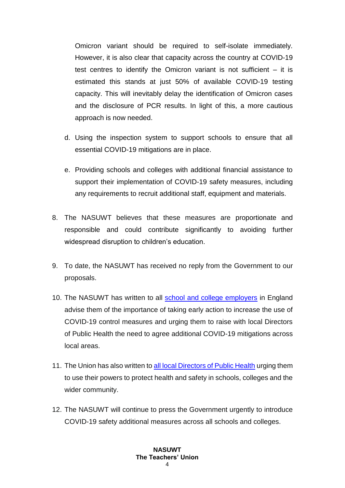Omicron variant should be required to self-isolate immediately. However, it is also clear that capacity across the country at COVID-19 test centres to identify the Omicron variant is not sufficient  $-$  it is estimated this stands at just 50% of available COVID-19 testing capacity. This will inevitably delay the identification of Omicron cases and the disclosure of PCR results. In light of this, a more cautious approach is now needed.

- d. Using the inspection system to support schools to ensure that all essential COVID-19 mitigations are in place.
- e. Providing schools and colleges with additional financial assistance to support their implementation of COVID-19 safety measures, including any requirements to recruit additional staff, equipment and materials.
- 8. The NASUWT believes that these measures are proportionate and responsible and could contribute significantly to avoiding further widespread disruption to children's education.
- 9. To date, the NASUWT has received no reply from the Government to our proposals.
- 10. The NASUWT has written to all [school and college employers](https://www.nasuwt.org.uk/asset/21C386BB-1FC1-4B16-A6AB203A3F0A0BF3/) in England advise them of the importance of taking early action to increase the use of COVID-19 control measures and urging them to raise with local Directors of Public Health the need to agree additional COVID-19 mitigations across local areas.
- 11. The Union has also written to [all local Directors of Public Health](https://www.nasuwt.org.uk/asset/32C38F48-35B2-4FA3-BDC949EBE746785B/) urging them to use their powers to protect health and safety in schools, colleges and the wider community.
- 12. The NASUWT will continue to press the Government urgently to introduce COVID-19 safety additional measures across all schools and colleges.

## **NASUWT The Teachers' Union** 4